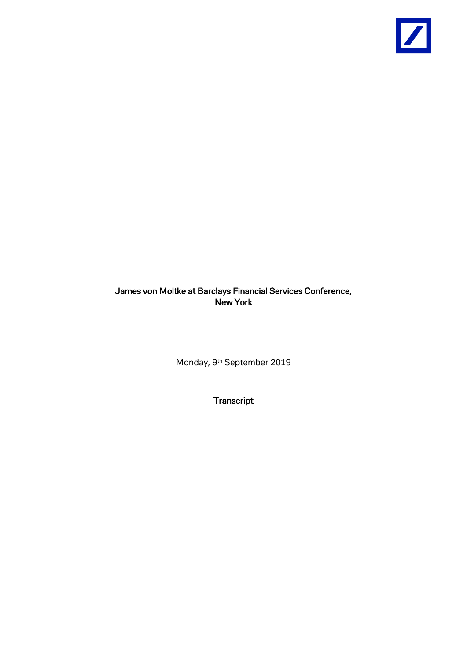

James von Moltke at Barclays Financial Services Conference, New York

Monday, 9<sup>th</sup> September 2019

**Transcript**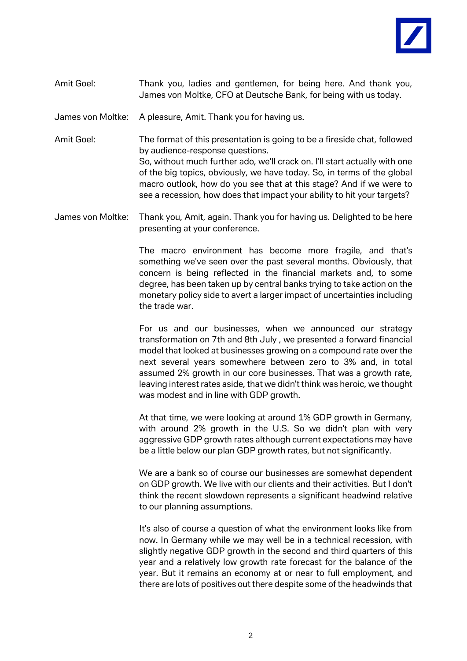

## Amit Goel: Thank you, ladies and gentlemen, for being here. And thank you, James von Moltke, CFO at Deutsche Bank, for being with us today.

James von Moltke: A pleasure, Amit. Thank you for having us.

Amit Goel: The format of this presentation is going to be a fireside chat, followed by audience-response questions. So, without much further ado, we'll crack on. I'll start actually with one of the big topics, obviously, we have today. So, in terms of the global macro outlook, how do you see that at this stage? And if we were to see a recession, how does that impact your ability to hit your targets?

James von Moltke: Thank you, Amit, again. Thank you for having us. Delighted to be here presenting at your conference.

> The macro environment has become more fragile, and that's something we've seen over the past several months. Obviously, that concern is being reflected in the financial markets and, to some degree, has been taken up by central banks trying to take action on the monetary policy side to avert a larger impact of uncertainties including the trade war.

> For us and our businesses, when we announced our strategy transformation on 7th and 8th July , we presented a forward financial model that looked at businesses growing on a compound rate over the next several years somewhere between zero to 3% and, in total assumed 2% growth in our core businesses. That was a growth rate, leaving interest rates aside, that we didn't think was heroic, we thought was modest and in line with GDP growth.

> At that time, we were looking at around 1% GDP growth in Germany, with around 2% growth in the U.S. So we didn't plan with very aggressive GDP growth rates although current expectations may have be a little below our plan GDP growth rates, but not significantly.

> We are a bank so of course our businesses are somewhat dependent on GDP growth. We live with our clients and their activities. But I don't think the recent slowdown represents a significant headwind relative to our planning assumptions.

> It's also of course a question of what the environment looks like from now. In Germany while we may well be in a technical recession, with slightly negative GDP growth in the second and third quarters of this year and a relatively low growth rate forecast for the balance of the year. But it remains an economy at or near to full employment, and there are lots of positives out there despite some of the headwinds that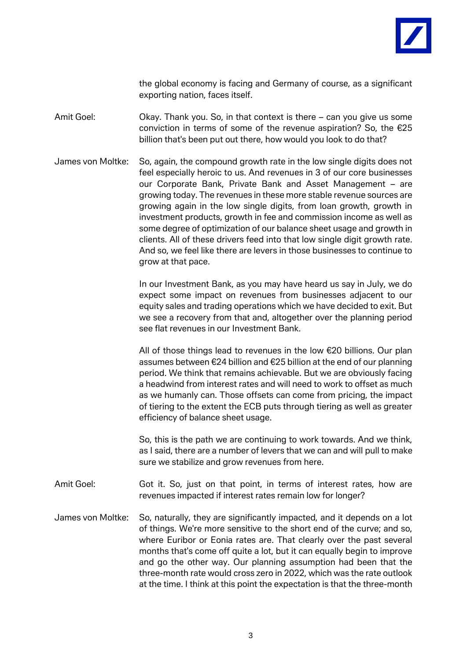

the global economy is facing and Germany of course, as a significant exporting nation, faces itself.

Amit Goel: Okay. Thank you. So, in that context is there – can you give us some conviction in terms of some of the revenue aspiration? So, the €25 billion that's been put out there, how would you look to do that?

James von Moltke: So, again, the compound growth rate in the low single digits does not feel especially heroic to us. And revenues in 3 of our core businesses our Corporate Bank, Private Bank and Asset Management – are growing today. The revenues in these more stable revenue sources are growing again in the low single digits, from loan growth, growth in investment products, growth in fee and commission income as well as some degree of optimization of our balance sheet usage and growth in clients. All of these drivers feed into that low single digit growth rate. And so, we feel like there are levers in those businesses to continue to grow at that pace.

> In our Investment Bank, as you may have heard us say in July, we do expect some impact on revenues from businesses adjacent to our equity sales and trading operations which we have decided to exit. But we see a recovery from that and, altogether over the planning period see flat revenues in our Investment Bank.

> All of those things lead to revenues in the low €20 billions. Our plan assumes between €24 billion and €25 billion at the end of our planning period. We think that remains achievable. But we are obviously facing a headwind from interest rates and will need to work to offset as much as we humanly can. Those offsets can come from pricing, the impact of tiering to the extent the ECB puts through tiering as well as greater efficiency of balance sheet usage.

> So, this is the path we are continuing to work towards. And we think, as I said, there are a number of levers that we can and will pull to make sure we stabilize and grow revenues from here.

- Amit Goel: Got it. So, just on that point, in terms of interest rates, how are revenues impacted if interest rates remain low for longer?
- James von Moltke: So, naturally, they are significantly impacted, and it depends on a lot of things. We're more sensitive to the short end of the curve; and so, where Euribor or Eonia rates are. That clearly over the past several months that's come off quite a lot, but it can equally begin to improve and go the other way. Our planning assumption had been that the three-month rate would cross zero in 2022, which was the rate outlook at the time. I think at this point the expectation is that the three-month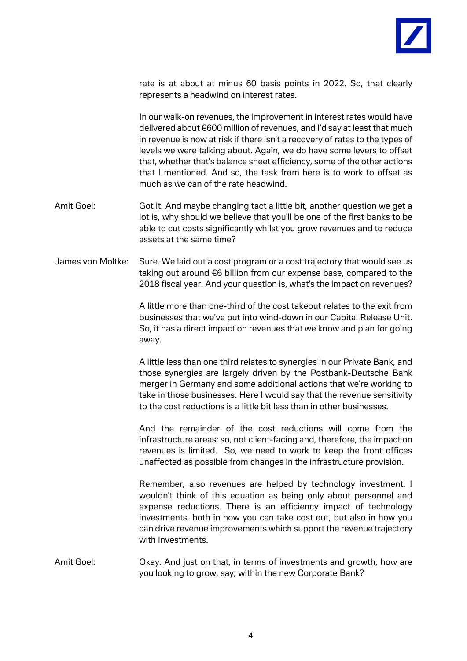

rate is at about at minus 60 basis points in 2022. So, that clearly represents a headwind on interest rates.

In our walk-on revenues, the improvement in interest rates would have delivered about €600 million of revenues, and I'd say at least that much in revenue is now at risk if there isn't a recovery of rates to the types of levels we were talking about. Again, we do have some levers to offset that, whether that's balance sheet efficiency, some of the other actions that I mentioned. And so, the task from here is to work to offset as much as we can of the rate headwind.

- Amit Goel: Got it. And maybe changing tact a little bit, another question we get a lot is, why should we believe that you'll be one of the first banks to be able to cut costs significantly whilst you grow revenues and to reduce assets at the same time?
- James von Moltke: Sure. We laid out a cost program or a cost trajectory that would see us taking out around €6 billion from our expense base, compared to the 2018 fiscal year. And your question is, what's the impact on revenues?

A little more than one-third of the cost takeout relates to the exit from businesses that we've put into wind-down in our Capital Release Unit. So, it has a direct impact on revenues that we know and plan for going away.

A little less than one third relates to synergies in our Private Bank, and those synergies are largely driven by the Postbank-Deutsche Bank merger in Germany and some additional actions that we're working to take in those businesses. Here I would say that the revenue sensitivity to the cost reductions is a little bit less than in other businesses.

And the remainder of the cost reductions will come from the infrastructure areas; so, not client-facing and, therefore, the impact on revenues is limited. So, we need to work to keep the front offices unaffected as possible from changes in the infrastructure provision.

Remember, also revenues are helped by technology investment. I wouldn't think of this equation as being only about personnel and expense reductions. There is an efficiency impact of technology investments, both in how you can take cost out, but also in how you can drive revenue improvements which support the revenue trajectory with investments.

Amit Goel: Okay. And just on that, in terms of investments and growth, how are you looking to grow, say, within the new Corporate Bank?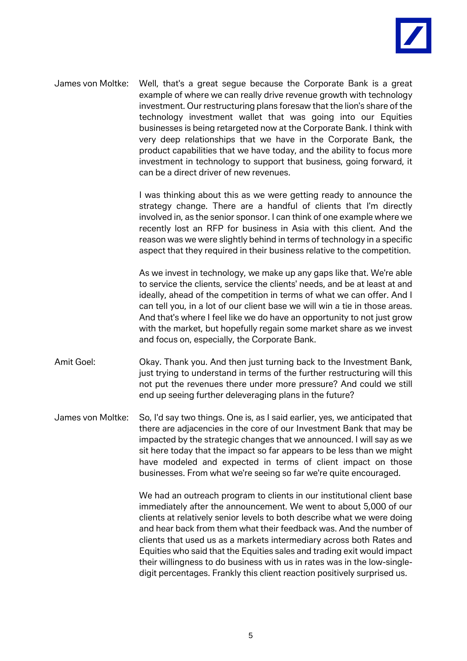

James von Moltke: Well, that's a great segue because the Corporate Bank is a great example of where we can really drive revenue growth with technology investment. Our restructuring plans foresaw that the lion's share of the technology investment wallet that was going into our Equities businesses is being retargeted now at the Corporate Bank. I think with very deep relationships that we have in the Corporate Bank, the product capabilities that we have today, and the ability to focus more investment in technology to support that business, going forward, it can be a direct driver of new revenues.

> I was thinking about this as we were getting ready to announce the strategy change. There are a handful of clients that I'm directly involved in, as the senior sponsor. I can think of one example where we recently lost an RFP for business in Asia with this client. And the reason was we were slightly behind in terms of technology in a specific aspect that they required in their business relative to the competition.

> As we invest in technology, we make up any gaps like that. We're able to service the clients, service the clients' needs, and be at least at and ideally, ahead of the competition in terms of what we can offer. And I can tell you, in a lot of our client base we will win a tie in those areas. And that's where I feel like we do have an opportunity to not just grow with the market, but hopefully regain some market share as we invest and focus on, especially, the Corporate Bank.

- Amit Goel: Okay. Thank you. And then just turning back to the Investment Bank, just trying to understand in terms of the further restructuring will this not put the revenues there under more pressure? And could we still end up seeing further deleveraging plans in the future?
- James von Moltke: So, I'd say two things. One is, as I said earlier, yes, we anticipated that there are adjacencies in the core of our Investment Bank that may be impacted by the strategic changes that we announced. I will say as we sit here today that the impact so far appears to be less than we might have modeled and expected in terms of client impact on those businesses. From what we're seeing so far we're quite encouraged.

We had an outreach program to clients in our institutional client base immediately after the announcement. We went to about 5,000 of our clients at relatively senior levels to both describe what we were doing and hear back from them what their feedback was. And the number of clients that used us as a markets intermediary across both Rates and Equities who said that the Equities sales and trading exit would impact their willingness to do business with us in rates was in the low-singledigit percentages. Frankly this client reaction positively surprised us.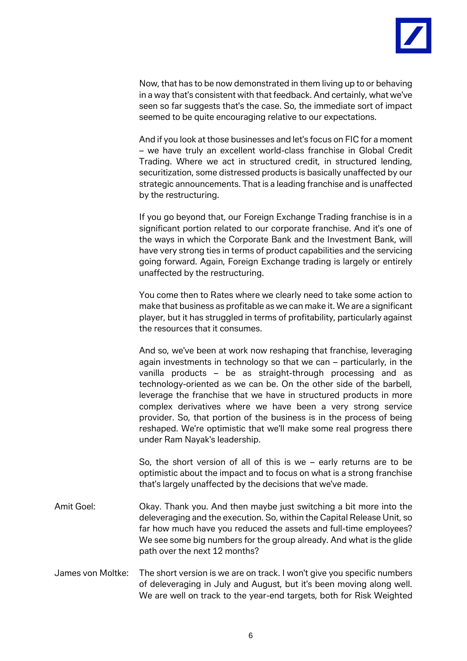

Now, that has to be now demonstrated in them living up to or behaving in a way that's consistent with that feedback. And certainly, what we've seen so far suggests that's the case. So, the immediate sort of impact seemed to be quite encouraging relative to our expectations.

And if you look at those businesses and let's focus on FIC for a moment – we have truly an excellent world-class franchise in Global Credit Trading. Where we act in structured credit, in structured lending, securitization, some distressed products is basically unaffected by our strategic announcements. That is a leading franchise and is unaffected by the restructuring.

If you go beyond that, our Foreign Exchange Trading franchise is in a significant portion related to our corporate franchise. And it's one of the ways in which the Corporate Bank and the Investment Bank, will have very strong ties in terms of product capabilities and the servicing going forward. Again, Foreign Exchange trading is largely or entirely unaffected by the restructuring.

You come then to Rates where we clearly need to take some action to make that business as profitable as we can make it. We are a significant player, but it has struggled in terms of profitability, particularly against the resources that it consumes.

And so, we've been at work now reshaping that franchise, leveraging again investments in technology so that we can – particularly, in the vanilla products – be as straight-through processing and as technology-oriented as we can be. On the other side of the barbell, leverage the franchise that we have in structured products in more complex derivatives where we have been a very strong service provider. So, that portion of the business is in the process of being reshaped. We're optimistic that we'll make some real progress there under Ram Nayak's leadership.

So, the short version of all of this is we – early returns are to be optimistic about the impact and to focus on what is a strong franchise that's largely unaffected by the decisions that we've made.

- Amit Goel: Okay. Thank you. And then maybe just switching a bit more into the deleveraging and the execution. So, within the Capital Release Unit, so far how much have you reduced the assets and full-time employees? We see some big numbers for the group already. And what is the glide path over the next 12 months?
- James von Moltke: The short version is we are on track. I won't give you specific numbers of deleveraging in July and August, but it's been moving along well. We are well on track to the year-end targets, both for Risk Weighted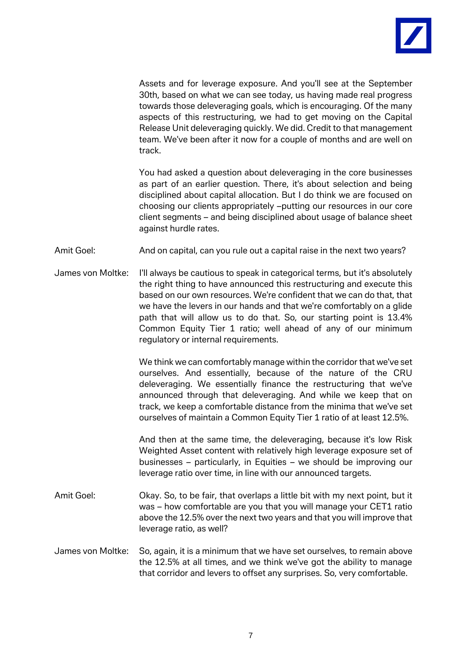

Assets and for leverage exposure. And you'll see at the September 30th, based on what we can see today, us having made real progress towards those deleveraging goals, which is encouraging. Of the many aspects of this restructuring, we had to get moving on the Capital Release Unit deleveraging quickly. We did. Credit to that management team. We've been after it now for a couple of months and are well on track.

You had asked a question about deleveraging in the core businesses as part of an earlier question. There, it's about selection and being disciplined about capital allocation. But I do think we are focused on choosing our clients appropriately –putting our resources in our core client segments – and being disciplined about usage of balance sheet against hurdle rates.

Amit Goel: And on capital, can you rule out a capital raise in the next two years?

James von Moltke: I'll always be cautious to speak in categorical terms, but it's absolutely the right thing to have announced this restructuring and execute this based on our own resources. We're confident that we can do that, that we have the levers in our hands and that we're comfortably on a glide path that will allow us to do that. So, our starting point is 13.4% Common Equity Tier 1 ratio; well ahead of any of our minimum regulatory or internal requirements.

> We think we can comfortably manage within the corridor that we've set ourselves. And essentially, because of the nature of the CRU deleveraging. We essentially finance the restructuring that we've announced through that deleveraging. And while we keep that on track, we keep a comfortable distance from the minima that we've set ourselves of maintain a Common Equity Tier 1 ratio of at least 12.5%.

> And then at the same time, the deleveraging, because it's low Risk Weighted Asset content with relatively high leverage exposure set of businesses – particularly, in Equities – we should be improving our leverage ratio over time, in line with our announced targets.

- Amit Goel: Okay. So, to be fair, that overlaps a little bit with my next point, but it was – how comfortable are you that you will manage your CET1 ratio above the 12.5% over the next two years and that you will improve that leverage ratio, as well?
- James von Moltke: So, again, it is a minimum that we have set ourselves, to remain above the 12.5% at all times, and we think we've got the ability to manage that corridor and levers to offset any surprises. So, very comfortable.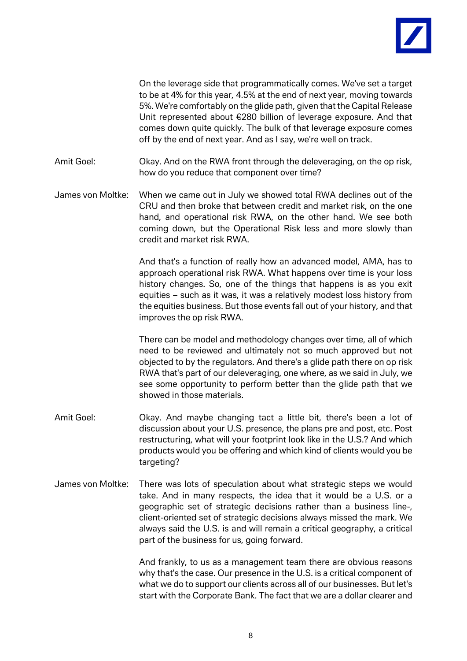

On the leverage side that programmatically comes. We've set a target to be at 4% for this year, 4.5% at the end of next year, moving towards 5%. We're comfortably on the glide path, given that the Capital Release Unit represented about €280 billion of leverage exposure. And that comes down quite quickly. The bulk of that leverage exposure comes off by the end of next year. And as I say, we're well on track.

Amit Goel: Okay. And on the RWA front through the deleveraging, on the op risk, how do you reduce that component over time?

James von Moltke: When we came out in July we showed total RWA declines out of the CRU and then broke that between credit and market risk, on the one hand, and operational risk RWA, on the other hand. We see both coming down, but the Operational Risk less and more slowly than credit and market risk RWA.

> And that's a function of really how an advanced model, AMA, has to approach operational risk RWA. What happens over time is your loss history changes. So, one of the things that happens is as you exit equities – such as it was, it was a relatively modest loss history from the equities business. But those events fall out of your history, and that improves the op risk RWA.

> There can be model and methodology changes over time, all of which need to be reviewed and ultimately not so much approved but not objected to by the regulators. And there's a glide path there on op risk RWA that's part of our deleveraging, one where, as we said in July, we see some opportunity to perform better than the glide path that we showed in those materials.

- Amit Goel: Chay. And maybe changing tact a little bit, there's been a lot of discussion about your U.S. presence, the plans pre and post, etc. Post restructuring, what will your footprint look like in the U.S.? And which products would you be offering and which kind of clients would you be targeting?
- James von Moltke: There was lots of speculation about what strategic steps we would take. And in many respects, the idea that it would be a U.S. or a geographic set of strategic decisions rather than a business line-, client-oriented set of strategic decisions always missed the mark. We always said the U.S. is and will remain a critical geography, a critical part of the business for us, going forward.

And frankly, to us as a management team there are obvious reasons why that's the case. Our presence in the U.S. is a critical component of what we do to support our clients across all of our businesses. But let's start with the Corporate Bank. The fact that we are a dollar clearer and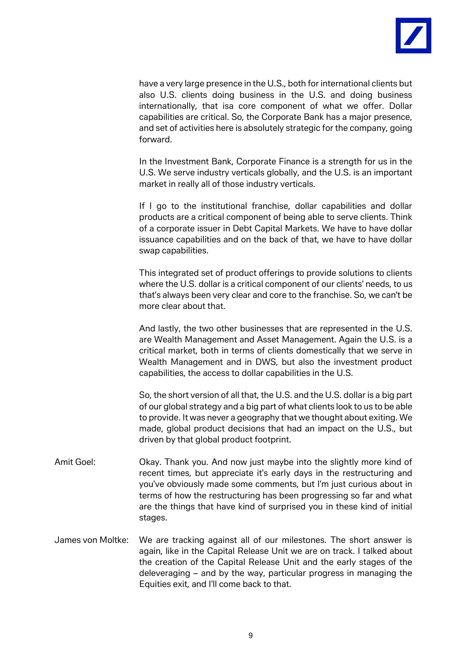

have a very large presence in the U.S., both for international clients but also U.S. clients doing business in the U.S. and doing business internationally, that isa core component of what we offer. Dollar capabilities are critical. So, the Corporate Bank has a major presence, and set of activities here is absolutely strategic for the company, going forward.

In the Investment Bank, Corporate Finance is a strength for us in the U.S. We serve industry verticals globally, and the U.S. is an important market in really all of those industry verticals.

If I go to the institutional franchise, dollar capabilities and dollar products are a critical component of being able to serve clients. Think of a corporate issuer in Debt Capital Markets. We have to have dollar issuance capabilities and on the back of that, we have to have dollar swap capabilities.

This integrated set of product offerings to provide solutions to clients where the U.S. dollar is a critical component of our clients' needs, to us that's always been very clear and core to the franchise. So, we can't be more clear about that.

And lastly, the two other businesses that are represented in the U.S. are Wealth Management and Asset Management. Again the U.S. is a critical market, both in terms of clients domestically that we serve in Wealth Management and in DWS, but also the investment product capabilities, the access to dollar capabilities in the U.S.

So, the short version of all that, the U.S. and the U.S. dollar is a big part of our global strategy and a big part of what clients look to us to be able to provide. It was never a geography that we thought about exiting. We made, global product decisions that had an impact on the U.S., but driven by that global product footprint.

- Amit Goel: Okay. Thank you. And now just maybe into the slightly more kind of recent times, but appreciate it's early days in the restructuring and you've obviously made some comments, but I'm just curious about in terms of how the restructuring has been progressing so far and what are the things that have kind of surprised you in these kind of initial stages.
- James von Moltke: We are tracking against all of our milestones. The short answer is again, like in the Capital Release Unit we are on track. I talked about the creation of the Capital Release Unit and the early stages of the deleveraging – and by the way, particular progress in managing the Equities exit, and I'll come back to that.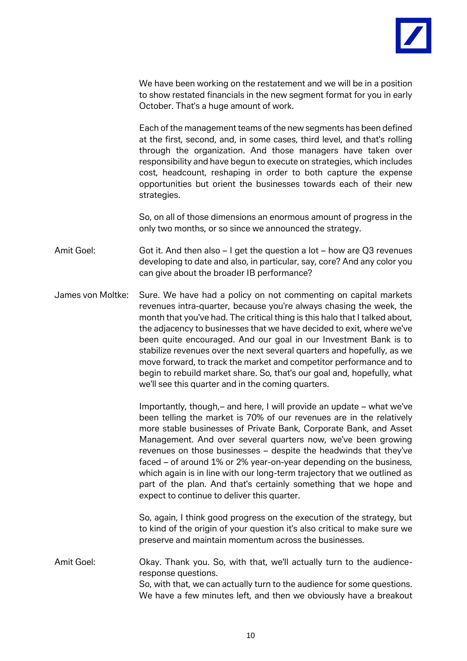

We have been working on the restatement and we will be in a position to show restated financials in the new segment format for you in early October. That's a huge amount of work.

Each of the management teams of the new segments has been defined at the first, second, and, in some cases, third level, and that's rolling through the organization. And those managers have taken over responsibility and have begun to execute on strategies, which includes cost, headcount, reshaping in order to both capture the expense opportunities but orient the businesses towards each of their new strategies.

So, on all of those dimensions an enormous amount of progress in the only two months, or so since we announced the strategy.

Amit Goel: Got it. And then also – I get the question a lot – how are Q3 revenues developing to date and also, in particular, say, core? And any color you can give about the broader IB performance?

James von Moltke: Sure. We have had a policy on not commenting on capital markets revenues intra-quarter, because you're always chasing the week, the month that you've had. The critical thing is this halo that I talked about, the adjacency to businesses that we have decided to exit, where we've been quite encouraged. And our goal in our Investment Bank is to stabilize revenues over the next several quarters and hopefully, as we move forward, to track the market and competitor performance and to begin to rebuild market share. So, that's our goal and, hopefully, what we'll see this quarter and in the coming quarters.

> Importantly, though,– and here, I will provide an update – what we've been telling the market is 70% of our revenues are in the relatively more stable businesses of Private Bank, Corporate Bank, and Asset Management. And over several quarters now, we've been growing revenues on those businesses – despite the headwinds that they've faced – of around 1% or 2% year-on-year depending on the business, which again is in line with our long-term trajectory that we outlined as part of the plan. And that's certainly something that we hope and expect to continue to deliver this quarter.

> So, again, I think good progress on the execution of the strategy, but to kind of the origin of your question it's also critical to make sure we preserve and maintain momentum across the businesses.

Amit Goel: Okay. Thank you. So, with that, we'll actually turn to the audienceresponse questions. So, with that, we can actually turn to the audience for some questions. We have a few minutes left, and then we obviously have a breakout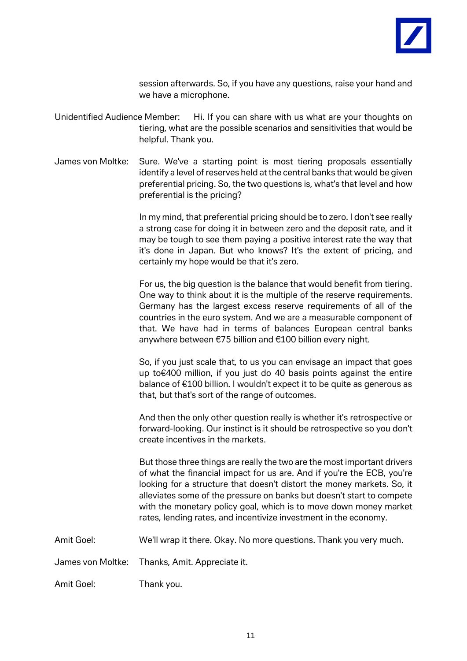

session afterwards. So, if you have any questions, raise your hand and we have a microphone.

- Unidentified Audience Member: Hi. If you can share with us what are your thoughts on tiering, what are the possible scenarios and sensitivities that would be helpful. Thank you.
- James von Moltke: Sure. We've a starting point is most tiering proposals essentially identify a level of reserves held at the central banks that would be given preferential pricing. So, the two questions is, what's that level and how preferential is the pricing?

In my mind, that preferential pricing should be to zero. I don't see really a strong case for doing it in between zero and the deposit rate, and it may be tough to see them paying a positive interest rate the way that it's done in Japan. But who knows? It's the extent of pricing, and certainly my hope would be that it's zero.

For us, the big question is the balance that would benefit from tiering. One way to think about it is the multiple of the reserve requirements. Germany has the largest excess reserve requirements of all of the countries in the euro system. And we are a measurable component of that. We have had in terms of balances European central banks anywhere between €75 billion and €100 billion every night.

So, if you just scale that, to us you can envisage an impact that goes up to€400 million, if you just do 40 basis points against the entire balance of €100 billion. I wouldn't expect it to be quite as generous as that, but that's sort of the range of outcomes.

And then the only other question really is whether it's retrospective or forward-looking. Our instinct is it should be retrospective so you don't create incentives in the markets.

But those three things are really the two are the most important drivers of what the financial impact for us are. And if you're the ECB, you're looking for a structure that doesn't distort the money markets. So, it alleviates some of the pressure on banks but doesn't start to compete with the monetary policy goal, which is to move down money market rates, lending rates, and incentivize investment in the economy.

Amit Goel: We'll wrap it there. Okay. No more questions. Thank you very much.

James von Moltke: Thanks, Amit. Appreciate it.

Amit Goel: Thank you.